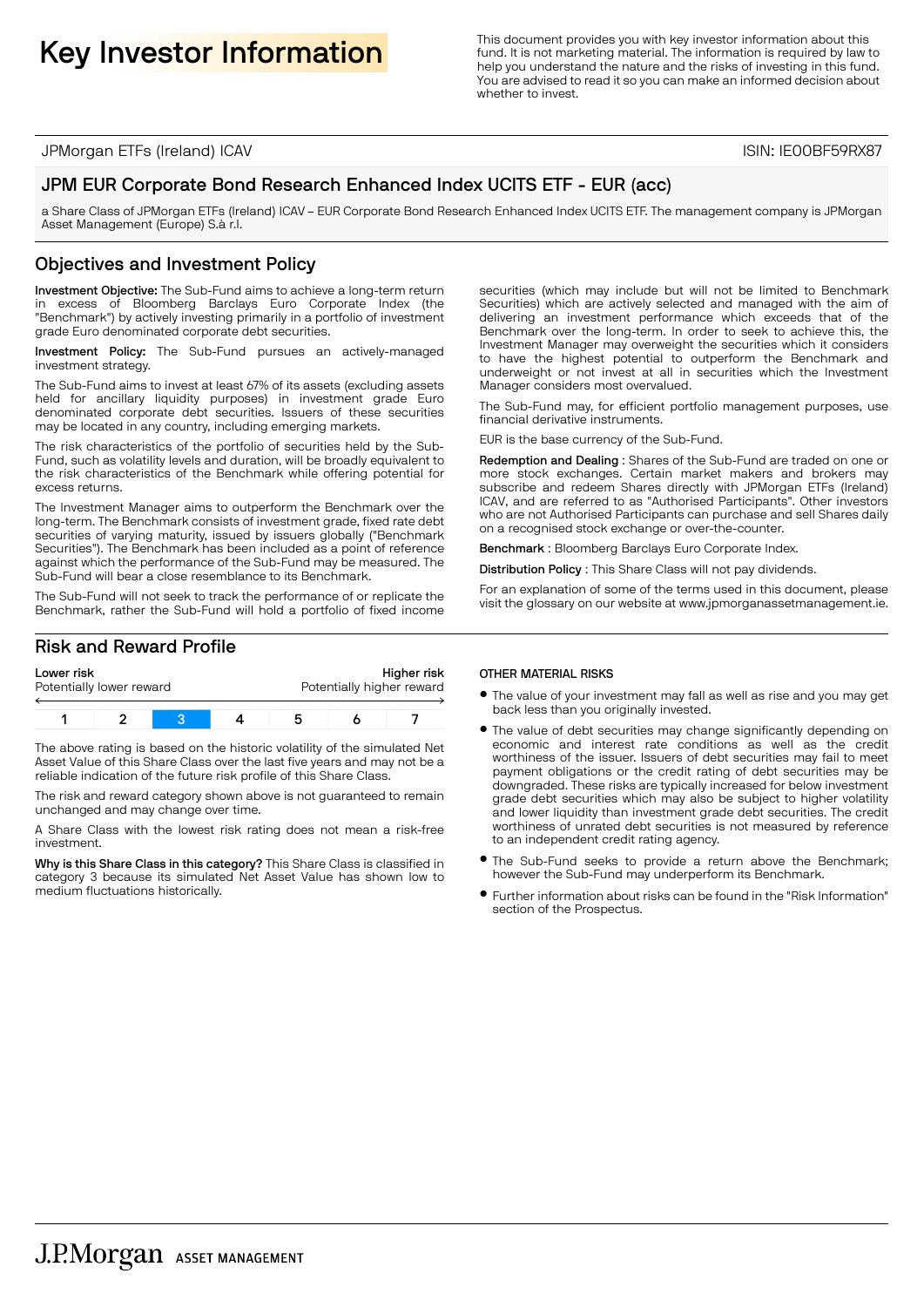Key Investor Information **Information**<br>
Key Investor information about this<br>
Selp you understand the pature and the risks of investing in this function fund. It is not marketing material. The information is required by law to help you understand the nature and the risks of investing in this fund. You are advised to read it so you can make an informed decision about whether to invest.

JPMorgan ETFs (Ireland) ICAV ISIN: IE00BF59RX87

## JPM EUR Corporate Bond Research Enhanced Index UCITS ETF - EUR (acc)

a Share Class of JPMorgan ETFs (Ireland) ICAV – EUR Corporate Bond Research Enhanced Index UCITS ETF. The management company is JPMorgan Asset Management (Europe) S.à r.l.

## Objectives and Investment Policy

Investment Objective: The Sub-Fund aims to achieve a long-term return in excess of Bloomberg Barclays Euro Corporate Index (the "Benchmark") by actively investing primarily in a portfolio of investment grade Euro denominated corporate debt securities.

Investment Policy: The Sub-Fund pursues an actively-managed investment strategy.

The Sub-Fund aims to invest at least 67% of its assets (excluding assets held for ancillary liquidity purposes) in investment grade Euro denominated corporate debt securities. Issuers of these securities may be located in any country, including emerging markets.

The risk characteristics of the portfolio of securities held by the Sub-Fund, such as volatility levels and duration, will be broadly equivalent to the risk characteristics of the Benchmark while offering potential for excess returns.

The Investment Manager aims to outperform the Benchmark over the long-term. The Benchmark consists of investment grade, fixed rate debt securities of varying maturity, issued by issuers globally ("Benchmark Securities"). The Benchmark has been included as a point of reference against which the performance of the Sub-Fund may be measured. The Sub-Fund will bear a close resemblance to its Benchmark.

The Sub-Fund will not seek to track the performance of or replicate the Benchmark, rather the Sub-Fund will hold a portfolio of fixed income

### Risk and Reward Profile

| Lower risk               |  |  |  | Higher risk               |  |  |  |
|--------------------------|--|--|--|---------------------------|--|--|--|
| Potentially lower reward |  |  |  | Potentially higher reward |  |  |  |
|                          |  |  |  |                           |  |  |  |

The above rating is based on the historic volatility of the simulated Net Asset Value of this Share Class over the last five years and may not be a reliable indication of the future risk profile of this Share Class.

The risk and reward category shown above is not guaranteed to remain unchanged and may change over time.

A Share Class with the lowest risk rating does not mean a risk-free investment.

Why is this Share Class in this category? This Share Class is classified in category 3 because its simulated Net Asset Value has shown low to medium fluctuations historically.

securities (which may include but will not be limited to Benchmark Securities) which are actively selected and managed with the aim of delivering an investment performance which exceeds that of the Benchmark over the long-term. In order to seek to achieve this, the Investment Manager may overweight the securities which it considers to have the highest potential to outperform the Benchmark and underweight or not invest at all in securities which the Investment Manager considers most overvalued.

The Sub-Fund may, for efficient portfolio management purposes, use financial derivative instruments.

EUR is the base currency of the Sub-Fund.

Redemption and Dealing : Shares of the Sub-Fund are traded on one or more stock exchanges. Certain market makers and brokers may subscribe and redeem Shares directly with JPMorgan ETFs (Ireland) ICAV, and are referred to as "Authorised Participants". Other investors who are not Authorised Participants can purchase and sell Shares daily on a recognised stock exchange or over-the-counter.

Benchmark : Bloomberg Barclays Euro Corporate Index.

Distribution Policy : This Share Class will not pay dividends.

For an explanation of some of the terms used in this document, please visit the glossary on our website at www.jpmorganassetmanagement.ie.

#### OTHER MATERIAL RISKS

- **•** The value of your investment may fall as well as rise and you may get back less than you originally invested.
- The value of debt securities may change significantly depending on economic and interest rate conditions as well as the credit worthiness of the issuer. Issuers of debt securities may fail to meet payment obligations or the credit rating of debt securities may be downgraded. These risks are typically increased for below investment grade debt securities which may also be subject to higher volatility and lower liquidity than investment grade debt securities. The credit worthiness of unrated debt securities is not measured by reference to an independent credit rating agency.
- The Sub-Fund seeks to provide a return above the Benchmark; however the Sub-Fund may underperform its Benchmark.
- $\bullet$  Further information about risks can be found in the "Risk Information" section of the Prospectus.